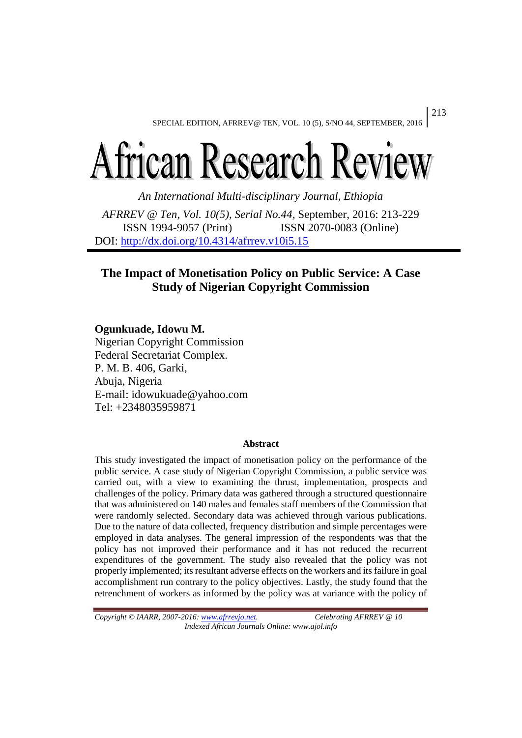# **African Research Review**

*An International Multi-disciplinary Journal, Ethiopia AFRREV @ Ten, Vol. 10(5), Serial No.44,* September, 2016: 213-229 ISSN 1994-9057 (Print) ISSN 2070-0083 (Online) DOI:<http://dx.doi.org/10.4314/afrrev.v10i5.15>

# **The Impact of Monetisation Policy on Public Service: A Case Study of Nigerian Copyright Commission**

# **Ogunkuade, Idowu M.**

Nigerian Copyright Commission Federal Secretariat Complex. P. M. B. 406, Garki, Abuja, Nigeria E-mail: idowukuade@yahoo.com Tel: +2348035959871

#### **Abstract**

This study investigated the impact of monetisation policy on the performance of the public service. A case study of Nigerian Copyright Commission, a public service was carried out, with a view to examining the thrust, implementation, prospects and challenges of the policy. Primary data was gathered through a structured questionnaire that was administered on 140 males and females staff members of the Commission that were randomly selected. Secondary data was achieved through various publications. Due to the nature of data collected, frequency distribution and simple percentages were employed in data analyses. The general impression of the respondents was that the policy has not improved their performance and it has not reduced the recurrent expenditures of the government. The study also revealed that the policy was not properly implemented; its resultant adverse effects on the workers and its failure in goal accomplishment run contrary to the policy objectives. Lastly, the study found that the retrenchment of workers as informed by the policy was at variance with the policy of

*Copyright © IAARR, 2007-2016[: www.afrrevjo.net.](http://www.afrrevjo.net/) Celebrating AFRREV @ 10 Indexed African Journals Online: www.ajol.info*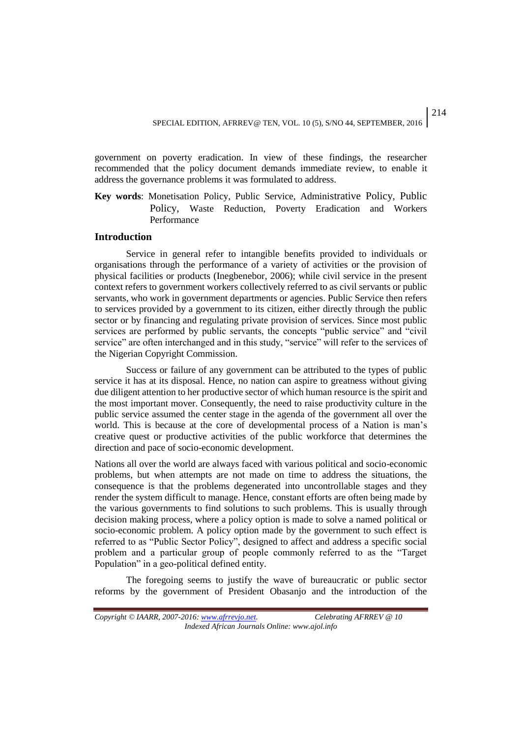government on poverty eradication. In view of these findings, the researcher recommended that the policy document demands immediate review, to enable it address the governance problems it was formulated to address.

**Key words**: Monetisation Policy, Public Service, Administrative Policy, Public Policy, Waste Reduction, Poverty Eradication and Workers Performance

#### **Introduction**

Service in general refer to intangible benefits provided to individuals or organisations through the performance of a variety of activities or the provision of physical facilities or products (Inegbenebor, 2006); while civil service in the present context refers to government workers collectively referred to as civil servants or public servants, who work in government departments or agencies. Public Service then refers to services provided by a government to its citizen, either directly through the public sector or by financing and regulating private provision of services. Since most public services are performed by public servants, the concepts "public service" and "civil service" are often interchanged and in this study, "service" will refer to the services of the Nigerian Copyright Commission.

Success or failure of any government can be attributed to the types of public service it has at its disposal. Hence, no nation can aspire to greatness without giving due diligent attention to her productive sector of which human resource is the spirit and the most important mover. Consequently, the need to raise productivity culture in the public service assumed the center stage in the agenda of the government all over the world. This is because at the core of developmental process of a Nation is man's creative quest or productive activities of the public workforce that determines the direction and pace of socio-economic development.

Nations all over the world are always faced with various political and socio-economic problems, but when attempts are not made on time to address the situations, the consequence is that the problems degenerated into uncontrollable stages and they render the system difficult to manage. Hence, constant efforts are often being made by the various governments to find solutions to such problems. This is usually through decision making process, where a policy option is made to solve a named political or socio-economic problem. A policy option made by the government to such effect is referred to as "Public Sector Policy", designed to affect and address a specific social problem and a particular group of people commonly referred to as the "Target Population" in a geo-political defined entity.

The foregoing seems to justify the wave of bureaucratic or public sector reforms by the government of President Obasanjo and the introduction of the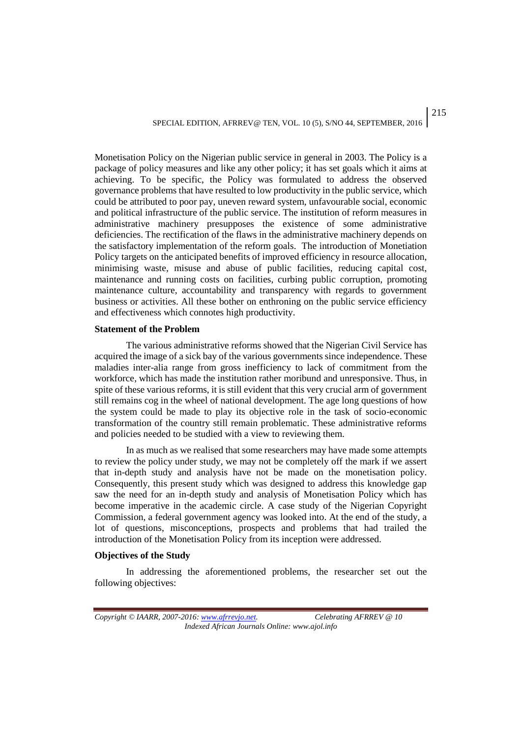Monetisation Policy on the Nigerian public service in general in 2003. The Policy is a package of policy measures and like any other policy; it has set goals which it aims at achieving. To be specific, the Policy was formulated to address the observed governance problems that have resulted to low productivity in the public service, which could be attributed to poor pay, uneven reward system, unfavourable social, economic and political infrastructure of the public service. The institution of reform measures in administrative machinery presupposes the existence of some administrative deficiencies. The rectification of the flaws in the administrative machinery depends on the satisfactory implementation of the reform goals. The introduction of Monetiation Policy targets on the anticipated benefits of improved efficiency in resource allocation, minimising waste, misuse and abuse of public facilities, reducing capital cost, maintenance and running costs on facilities, curbing public corruption, promoting maintenance culture, accountability and transparency with regards to government business or activities. All these bother on enthroning on the public service efficiency and effectiveness which connotes high productivity.

#### **Statement of the Problem**

The various administrative reforms showed that the Nigerian Civil Service has acquired the image of a sick bay of the various governments since independence. These maladies inter-alia range from gross inefficiency to lack of commitment from the workforce, which has made the institution rather moribund and unresponsive. Thus, in spite of these various reforms, it is still evident that this very crucial arm of government still remains cog in the wheel of national development. The age long questions of how the system could be made to play its objective role in the task of socio-economic transformation of the country still remain problematic. These administrative reforms and policies needed to be studied with a view to reviewing them.

In as much as we realised that some researchers may have made some attempts to review the policy under study, we may not be completely off the mark if we assert that in-depth study and analysis have not be made on the monetisation policy. Consequently, this present study which was designed to address this knowledge gap saw the need for an in-depth study and analysis of Monetisation Policy which has become imperative in the academic circle. A case study of the Nigerian Copyright Commission, a federal government agency was looked into. At the end of the study, a lot of questions, misconceptions, prospects and problems that had trailed the introduction of the Monetisation Policy from its inception were addressed.

#### **Objectives of the Study**

In addressing the aforementioned problems, the researcher set out the following objectives: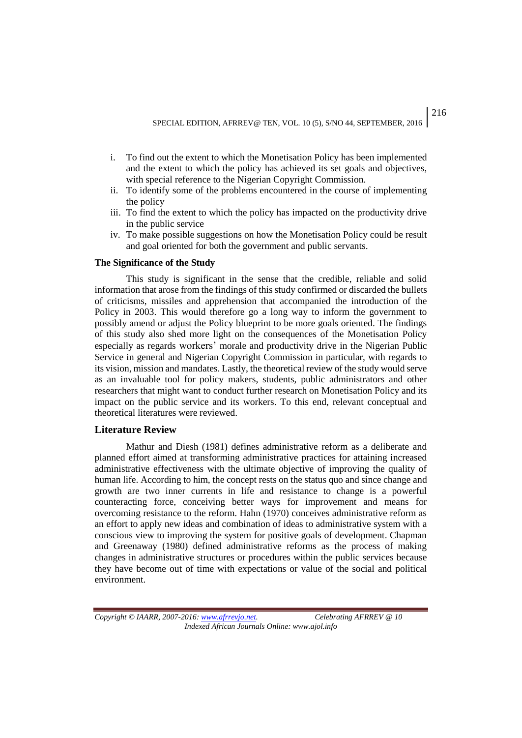- i. To find out the extent to which the Monetisation Policy has been implemented and the extent to which the policy has achieved its set goals and objectives, with special reference to the Nigerian Copyright Commission.
- ii. To identify some of the problems encountered in the course of implementing the policy
- iii. To find the extent to which the policy has impacted on the productivity drive in the public service
- iv. To make possible suggestions on how the Monetisation Policy could be result and goal oriented for both the government and public servants.

#### **The Significance of the Study**

This study is significant in the sense that the credible, reliable and solid information that arose from the findings of this study confirmed or discarded the bullets of criticisms, missiles and apprehension that accompanied the introduction of the Policy in 2003. This would therefore go a long way to inform the government to possibly amend or adjust the Policy blueprint to be more goals oriented. The findings of this study also shed more light on the consequences of the Monetisation Policy especially as regards workers' morale and productivity drive in the Nigerian Public Service in general and Nigerian Copyright Commission in particular, with regards to its vision, mission and mandates. Lastly, the theoretical review of the study would serve as an invaluable tool for policy makers, students, public administrators and other researchers that might want to conduct further research on Monetisation Policy and its impact on the public service and its workers. To this end, relevant conceptual and theoretical literatures were reviewed.

#### **Literature Review**

Mathur and Diesh (1981) defines administrative reform as a deliberate and planned effort aimed at transforming administrative practices for attaining increased administrative effectiveness with the ultimate objective of improving the quality of human life. According to him, the concept rests on the status quo and since change and growth are two inner currents in life and resistance to change is a powerful counteracting force, conceiving better ways for improvement and means for overcoming resistance to the reform. Hahn (1970) conceives administrative reform as an effort to apply new ideas and combination of ideas to administrative system with a conscious view to improving the system for positive goals of development. Chapman and Greenaway (1980) defined administrative reforms as the process of making changes in administrative structures or procedures within the public services because they have become out of time with expectations or value of the social and political environment.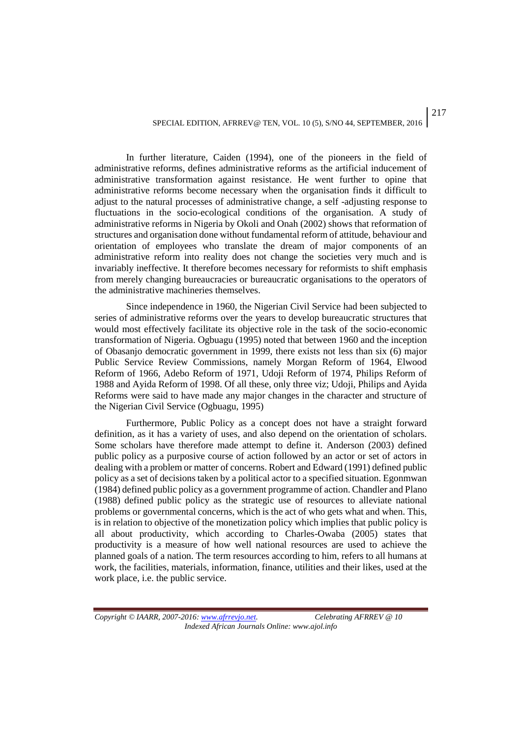In further literature, Caiden (1994), one of the pioneers in the field of administrative reforms, defines administrative reforms as the artificial inducement of administrative transformation against resistance. He went further to opine that administrative reforms become necessary when the organisation finds it difficult to adjust to the natural processes of administrative change, a self -adjusting response to fluctuations in the socio-ecological conditions of the organisation. A study of administrative reforms in Nigeria by Okoli and Onah (2002) shows that reformation of structures and organisation done without fundamental reform of attitude, behaviour and orientation of employees who translate the dream of major components of an administrative reform into reality does not change the societies very much and is invariably ineffective. It therefore becomes necessary for reformists to shift emphasis from merely changing bureaucracies or bureaucratic organisations to the operators of the administrative machineries themselves.

Since independence in 1960, the Nigerian Civil Service had been subjected to series of administrative reforms over the years to develop bureaucratic structures that would most effectively facilitate its objective role in the task of the socio-economic transformation of Nigeria. Ogbuagu (1995) noted that between 1960 and the inception of Obasanjo democratic government in 1999, there exists not less than six (6) major Public Service Review Commissions, namely Morgan Reform of 1964, Elwood Reform of 1966, Adebo Reform of 1971, Udoji Reform of 1974, Philips Reform of 1988 and Ayida Reform of 1998. Of all these, only three viz; Udoji, Philips and Ayida Reforms were said to have made any major changes in the character and structure of the Nigerian Civil Service (Ogbuagu, 1995)

Furthermore, Public Policy as a concept does not have a straight forward definition, as it has a variety of uses, and also depend on the orientation of scholars. Some scholars have therefore made attempt to define it. Anderson (2003) defined public policy as a purposive course of action followed by an actor or set of actors in dealing with a problem or matter of concerns. Robert and Edward (1991) defined public policy as a set of decisions taken by a political actor to a specified situation. Egonmwan (1984) defined public policy as a government programme of action. Chandler and Plano (1988) defined public policy as the strategic use of resources to alleviate national problems or governmental concerns, which is the act of who gets what and when. This, is in relation to objective of the monetization policy which implies that public policy is all about productivity, which according to Charles-Owaba (2005) states that productivity is a measure of how well national resources are used to achieve the planned goals of a nation. The term resources according to him, refers to all humans at work, the facilities, materials, information, finance, utilities and their likes, used at the work place, i.e. the public service.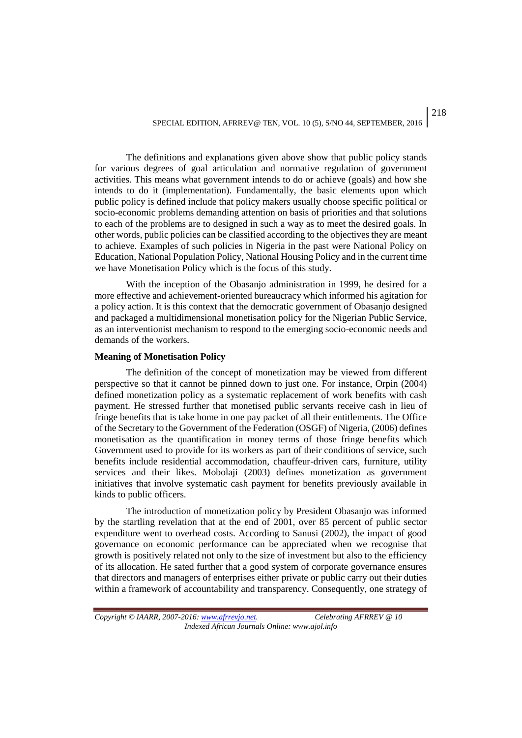The definitions and explanations given above show that public policy stands for various degrees of goal articulation and normative regulation of government activities. This means what government intends to do or achieve (goals) and how she intends to do it (implementation). Fundamentally, the basic elements upon which public policy is defined include that policy makers usually choose specific political or socio-economic problems demanding attention on basis of priorities and that solutions to each of the problems are to designed in such a way as to meet the desired goals. In other words, public policies can be classified according to the objectives they are meant to achieve. Examples of such policies in Nigeria in the past were National Policy on Education, National Population Policy, National Housing Policy and in the current time we have Monetisation Policy which is the focus of this study.

With the inception of the Obasanjo administration in 1999, he desired for a more effective and achievement-oriented bureaucracy which informed his agitation for a policy action. It is this context that the democratic government of Obasanjo designed and packaged a multidimensional monetisation policy for the Nigerian Public Service, as an interventionist mechanism to respond to the emerging socio-economic needs and demands of the workers.

#### **Meaning of Monetisation Policy**

The definition of the concept of monetization may be viewed from different perspective so that it cannot be pinned down to just one. For instance, Orpin (2004) defined monetization policy as a systematic replacement of work benefits with cash payment. He stressed further that monetised public servants receive cash in lieu of fringe benefits that is take home in one pay packet of all their entitlements. The Office of the Secretary to the Government of the Federation (OSGF) of Nigeria, (2006) defines monetisation as the quantification in money terms of those fringe benefits which Government used to provide for its workers as part of their conditions of service, such benefits include residential accommodation, chauffeur-driven cars, furniture, utility services and their likes. Mobolaji (2003) defines monetization as government initiatives that involve systematic cash payment for benefits previously available in kinds to public officers.

The introduction of monetization policy by President Obasanjo was informed by the startling revelation that at the end of 2001, over 85 percent of public sector expenditure went to overhead costs. According to Sanusi (2002), the impact of good governance on economic performance can be appreciated when we recognise that growth is positively related not only to the size of investment but also to the efficiency of its allocation. He sated further that a good system of corporate governance ensures that directors and managers of enterprises either private or public carry out their duties within a framework of accountability and transparency. Consequently, one strategy of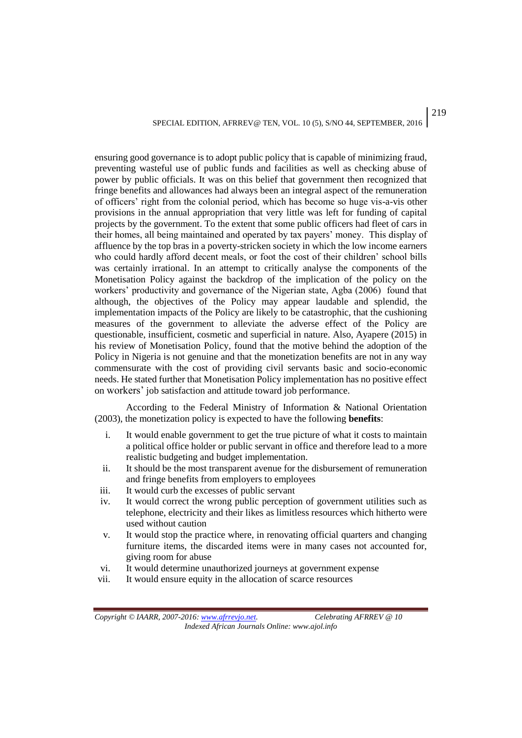ensuring good governance is to adopt public policy that is capable of minimizing fraud, preventing wasteful use of public funds and facilities as well as checking abuse of power by public officials. It was on this belief that government then recognized that fringe benefits and allowances had always been an integral aspect of the remuneration of officers' right from the colonial period, which has become so huge vis-a-vis other provisions in the annual appropriation that very little was left for funding of capital projects by the government. To the extent that some public officers had fleet of cars in their homes, all being maintained and operated by tax payers' money. This display of affluence by the top bras in a poverty-stricken society in which the low income earners who could hardly afford decent meals, or foot the cost of their children' school bills was certainly irrational. In an attempt to critically analyse the components of the Monetisation Policy against the backdrop of the implication of the policy on the workers' productivity and governance of the Nigerian state, Agba (2006) found that although, the objectives of the Policy may appear laudable and splendid, the implementation impacts of the Policy are likely to be catastrophic, that the cushioning measures of the government to alleviate the adverse effect of the Policy are questionable, insufficient, cosmetic and superficial in nature. Also, Ayapere (2015) in his review of Monetisation Policy, found that the motive behind the adoption of the Policy in Nigeria is not genuine and that the monetization benefits are not in any way commensurate with the cost of providing civil servants basic and socio-economic needs. He stated further that Monetisation Policy implementation has no positive effect on workers' job satisfaction and attitude toward job performance.

According to the Federal Ministry of Information & National Orientation (2003), the monetization policy is expected to have the following **benefits**:

- i. It would enable government to get the true picture of what it costs to maintain a political office holder or public servant in office and therefore lead to a more realistic budgeting and budget implementation.
- ii. It should be the most transparent avenue for the disbursement of remuneration and fringe benefits from employers to employees
- iii. It would curb the excesses of public servant
- iv. It would correct the wrong public perception of government utilities such as telephone, electricity and their likes as limitless resources which hitherto were used without caution
- v. It would stop the practice where, in renovating official quarters and changing furniture items, the discarded items were in many cases not accounted for, giving room for abuse
- vi. It would determine unauthorized journeys at government expense
- vii. It would ensure equity in the allocation of scarce resources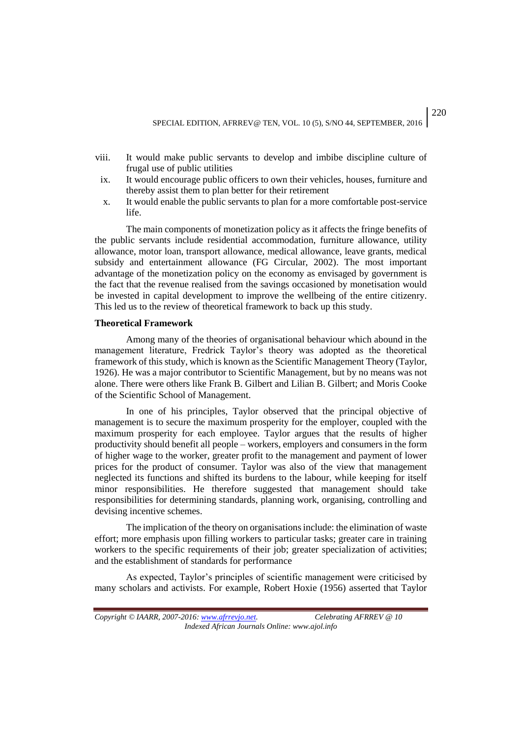- viii. It would make public servants to develop and imbibe discipline culture of frugal use of public utilities
- ix. It would encourage public officers to own their vehicles, houses, furniture and thereby assist them to plan better for their retirement
- x. It would enable the public servants to plan for a more comfortable post-service life.

The main components of monetization policy as it affects the fringe benefits of the public servants include residential accommodation, furniture allowance, utility allowance, motor loan, transport allowance, medical allowance, leave grants, medical subsidy and entertainment allowance (FG Circular, 2002). The most important advantage of the monetization policy on the economy as envisaged by government is the fact that the revenue realised from the savings occasioned by monetisation would be invested in capital development to improve the wellbeing of the entire citizenry. This led us to the review of theoretical framework to back up this study.

#### **Theoretical Framework**

Among many of the theories of organisational behaviour which abound in the management literature, Fredrick Taylor's theory was adopted as the theoretical framework of thisstudy, which is known as the Scientific Management Theory (Taylor, 1926). He was a major contributor to Scientific Management, but by no means was not alone. There were others like Frank B. Gilbert and Lilian B. Gilbert; and Moris Cooke of the Scientific School of Management.

In one of his principles, Taylor observed that the principal objective of management is to secure the maximum prosperity for the employer, coupled with the maximum prosperity for each employee. Taylor argues that the results of higher productivity should benefit all people – workers, employers and consumers in the form of higher wage to the worker, greater profit to the management and payment of lower prices for the product of consumer. Taylor was also of the view that management neglected its functions and shifted its burdens to the labour, while keeping for itself minor responsibilities. He therefore suggested that management should take responsibilities for determining standards, planning work, organising, controlling and devising incentive schemes.

The implication of the theory on organisations include: the elimination of waste effort; more emphasis upon filling workers to particular tasks; greater care in training workers to the specific requirements of their job; greater specialization of activities; and the establishment of standards for performance

As expected, Taylor's principles of scientific management were criticised by many scholars and activists. For example, Robert Hoxie (1956) asserted that Taylor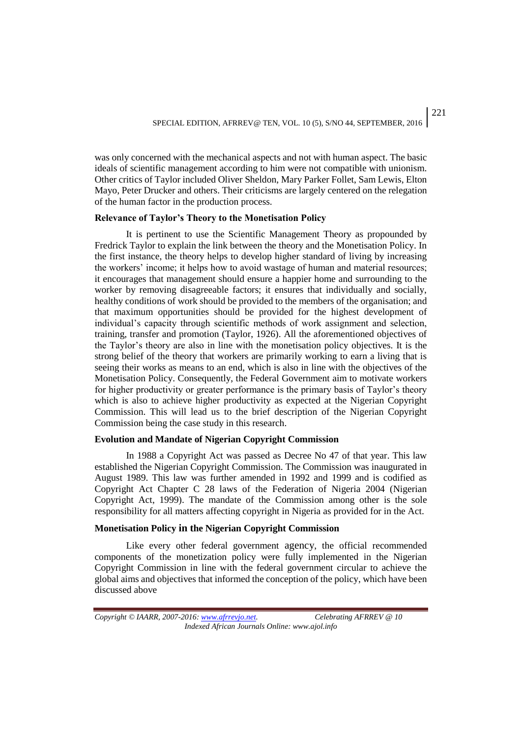was only concerned with the mechanical aspects and not with human aspect. The basic ideals of scientific management according to him were not compatible with unionism. Other critics of Taylor included Oliver Sheldon, Mary Parker Follet, Sam Lewis, Elton Mayo, Peter Drucker and others. Their criticisms are largely centered on the relegation of the human factor in the production process.

#### **Relevance of Taylor's Theory to the Monetisation Policy**

It is pertinent to use the Scientific Management Theory as propounded by Fredrick Taylor to explain the link between the theory and the Monetisation Policy. In the first instance, the theory helps to develop higher standard of living by increasing the workers' income; it helps how to avoid wastage of human and material resources; it encourages that management should ensure a happier home and surrounding to the worker by removing disagreeable factors; it ensures that individually and socially, healthy conditions of work should be provided to the members of the organisation; and that maximum opportunities should be provided for the highest development of individual's capacity through scientific methods of work assignment and selection, training, transfer and promotion (Taylor, 1926). All the aforementioned objectives of the Taylor's theory are also in line with the monetisation policy objectives. It is the strong belief of the theory that workers are primarily working to earn a living that is seeing their works as means to an end, which is also in line with the objectives of the Monetisation Policy. Consequently, the Federal Government aim to motivate workers for higher productivity or greater performance is the primary basis of Taylor's theory which is also to achieve higher productivity as expected at the Nigerian Copyright Commission. This will lead us to the brief description of the Nigerian Copyright Commission being the case study in this research.

#### **Evolution and Mandate of Nigerian Copyright Commission**

In 1988 a Copyright Act was passed as Decree No 47 of that year. This law established the Nigerian Copyright Commission. The Commission was inaugurated in August 1989. This law was further amended in 1992 and 1999 and is codified as Copyright Act Chapter C 28 laws of the Federation of Nigeria 2004 (Nigerian Copyright Act, 1999). The mandate of the Commission among other is the sole responsibility for all matters affecting copyright in Nigeria as provided for in the Act.

#### **Monetisation Policy in the Nigerian Copyright Commission**

Like every other federal government agency, the official recommended components of the monetization policy were fully implemented in the Nigerian Copyright Commission in line with the federal government circular to achieve the global aims and objectives that informed the conception of the policy, which have been discussed above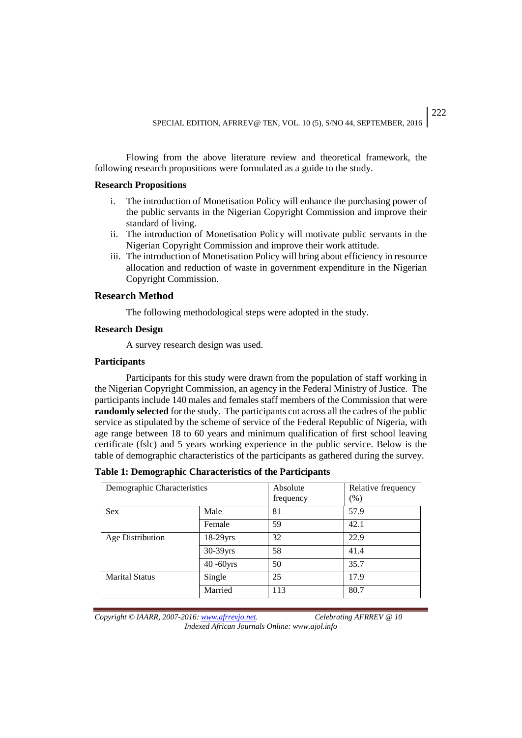Flowing from the above literature review and theoretical framework, the following research propositions were formulated as a guide to the study.

#### **Research Propositions**

- i. The introduction of Monetisation Policy will enhance the purchasing power of the public servants in the Nigerian Copyright Commission and improve their standard of living.
- ii. The introduction of Monetisation Policy will motivate public servants in the Nigerian Copyright Commission and improve their work attitude.
- iii. The introduction of Monetisation Policy will bring about efficiency in resource allocation and reduction of waste in government expenditure in the Nigerian Copyright Commission.

## **Research Method**

The following methodological steps were adopted in the study.

#### **Research Design**

A survey research design was used.

#### **Participants**

Participants for this study were drawn from the population of staff working in the Nigerian Copyright Commission, an agency in the Federal Ministry of Justice. The participants include 140 males and females staff members of the Commission that were **randomly selected** for the study. The participants cut across all the cadres of the public service as stipulated by the scheme of service of the Federal Republic of Nigeria, with age range between 18 to 60 years and minimum qualification of first school leaving certificate (fslc) and 5 years working experience in the public service. Below is the table of demographic characteristics of the participants as gathered during the survey.

**Table 1: Demographic Characteristics of the Participants** 

| Demographic Characteristics |               | Absolute<br>frequency | Relative frequency<br>(% ) |
|-----------------------------|---------------|-----------------------|----------------------------|
| <b>Sex</b>                  | Male          | 81                    | 57.9                       |
|                             | Female        | 59                    | 42.1                       |
| Age Distribution            | 18-29yrs      | 32                    | 22.9                       |
|                             | 30-39yrs      | 58                    | 41.4                       |
|                             | $40 - 60$ yrs | 50                    | 35.7                       |
| <b>Marital Status</b>       | Single        | 25                    | 17.9                       |
|                             | Married       | 113                   | 80.7                       |

*Copyright © IAARR, 2007-2016[: www.afrrevjo.net.](http://www.afrrevjo.net/) Celebrating AFRREV @ 10 Indexed African Journals Online: www.ajol.info*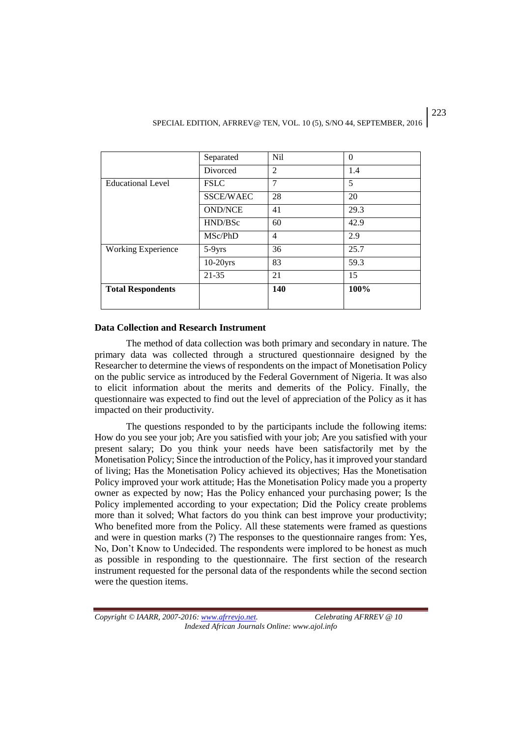|                           | Separated        | N <sub>i</sub> l | $\theta$ |
|---------------------------|------------------|------------------|----------|
|                           | Divorced         | $\overline{2}$   | 1.4      |
| <b>Educational Level</b>  | <b>FSLC</b>      | $\overline{7}$   | 5        |
|                           | <b>SSCE/WAEC</b> | 28               | 20       |
|                           | <b>OND/NCE</b>   | 41               | 29.3     |
|                           | HND/BSc          | 60               | 42.9     |
|                           | MSc/PhD          | $\overline{4}$   | 2.9      |
| <b>Working Experience</b> | $5-9yrs$         | 36               | 25.7     |
|                           | $10-20$ yrs      | 83               | 59.3     |
|                           | $21 - 35$        | 21               | 15       |
| <b>Total Respondents</b>  |                  | 140              | 100%     |
|                           |                  |                  |          |

#### **Data Collection and Research Instrument**

The method of data collection was both primary and secondary in nature. The primary data was collected through a structured questionnaire designed by the Researcher to determine the views of respondents on the impact of Monetisation Policy on the public service as introduced by the Federal Government of Nigeria. It was also to elicit information about the merits and demerits of the Policy. Finally, the questionnaire was expected to find out the level of appreciation of the Policy as it has impacted on their productivity.

The questions responded to by the participants include the following items: How do you see your job; Are you satisfied with your job; Are you satisfied with your present salary; Do you think your needs have been satisfactorily met by the Monetisation Policy; Since the introduction of the Policy, has it improved your standard of living; Has the Monetisation Policy achieved its objectives; Has the Monetisation Policy improved your work attitude; Has the Monetisation Policy made you a property owner as expected by now; Has the Policy enhanced your purchasing power; Is the Policy implemented according to your expectation; Did the Policy create problems more than it solved; What factors do you think can best improve your productivity; Who benefited more from the Policy. All these statements were framed as questions and were in question marks (?) The responses to the questionnaire ranges from: Yes, No, Don't Know to Undecided. The respondents were implored to be honest as much as possible in responding to the questionnaire. The first section of the research instrument requested for the personal data of the respondents while the second section were the question items.

223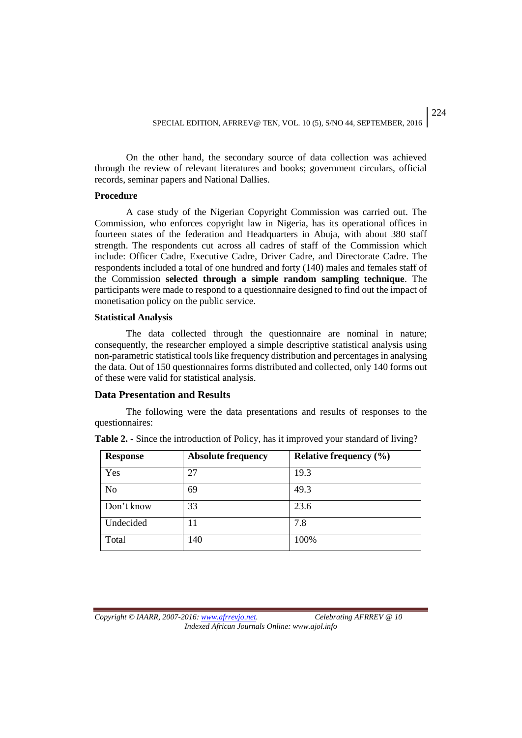On the other hand, the secondary source of data collection was achieved through the review of relevant literatures and books; government circulars, official records, seminar papers and National Dallies.

#### **Procedure**

A case study of the Nigerian Copyright Commission was carried out. The Commission, who enforces copyright law in Nigeria, has its operational offices in fourteen states of the federation and Headquarters in Abuja, with about 380 staff strength. The respondents cut across all cadres of staff of the Commission which include: Officer Cadre, Executive Cadre, Driver Cadre, and Directorate Cadre. The respondents included a total of one hundred and forty (140) males and females staff of the Commission **selected through a simple random sampling technique**. The participants were made to respond to a questionnaire designed to find out the impact of monetisation policy on the public service.

#### **Statistical Analysis**

The data collected through the questionnaire are nominal in nature; consequently, the researcher employed a simple descriptive statistical analysis using non-parametric statistical tools like frequency distribution and percentages in analysing the data. Out of 150 questionnaires forms distributed and collected, only 140 forms out of these were valid for statistical analysis.

#### **Data Presentation and Results**

The following were the data presentations and results of responses to the questionnaires:

| <b>Response</b> | <b>Absolute frequency</b> | <b>Relative frequency</b> (%) |
|-----------------|---------------------------|-------------------------------|
| Yes             | 27                        | 19.3                          |
| N <sub>o</sub>  | 69                        | 49.3                          |
| Don't know      | 33                        | 23.6                          |
| Undecided       | 11                        | 7.8                           |
| Total           | 140                       | 100%                          |

**Table 2. -** Since the introduction of Policy, has it improved your standard of living?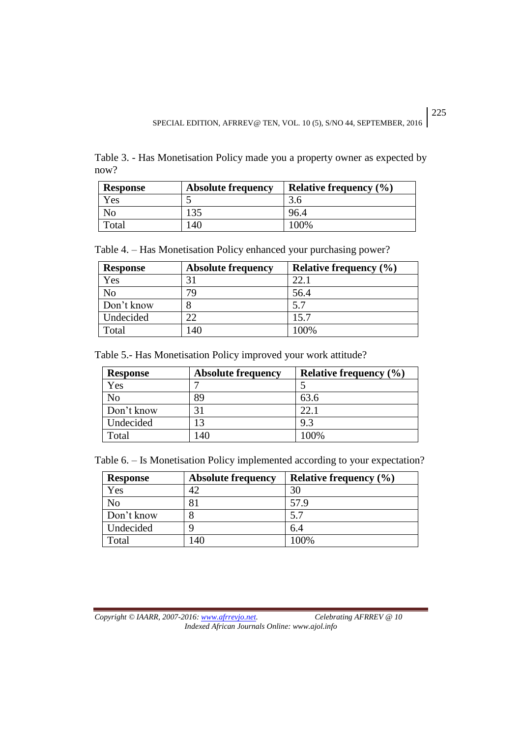Table 3. - Has Monetisation Policy made you a property owner as expected by now?

| <b>Response</b> | <b>Absolute frequency</b> | Relative frequency $(\% )$ |
|-----------------|---------------------------|----------------------------|
| $V_{\rm CS}$    |                           |                            |
| Nο              | 25<br>ت ب                 | 96.4                       |
| Total           | 40                        | $00\%$                     |

Table 4. – Has Monetisation Policy enhanced your purchasing power?

| <b>Response</b> | <b>Absolute frequency</b> | Relative frequency $(\% )$ |
|-----------------|---------------------------|----------------------------|
| Yes             |                           | 22.1                       |
| N <sub>o</sub>  | 79                        | 56.4                       |
| Don't know      |                           | 5.7                        |
| Undecided       | 22                        | 15.7                       |
| Total           | 40                        | 100%                       |

Table 5.- Has Monetisation Policy improved your work attitude?

| <b>Response</b> | <b>Absolute frequency</b> | Relative frequency $(\% )$ |
|-----------------|---------------------------|----------------------------|
| Yes             |                           |                            |
| No              | 89                        | 63.6                       |
| Don't know      | 31                        | $22_{\circ}$               |
| Undecided       | 13                        | 9.3                        |
| Total           | 40                        | 100%                       |

| Table 6. - Is Monetisation Policy implemented according to your expectation? |  |  |  |  |  |  |  |  |  |
|------------------------------------------------------------------------------|--|--|--|--|--|--|--|--|--|
|------------------------------------------------------------------------------|--|--|--|--|--|--|--|--|--|

| <b>Response</b> | <b>Absolute frequency</b> | Relative frequency $(\% )$ |
|-----------------|---------------------------|----------------------------|
| Yes             | 42                        | 30                         |
| No              |                           | 57.9                       |
| Don't know      |                           | 5.7                        |
| Undecided       |                           | 6.4                        |
| Total           | .40                       | 100%                       |

*Copyright © IAARR, 2007-2016[: www.afrrevjo.net.](http://www.afrrevjo.net/) Celebrating AFRREV @ 10 Indexed African Journals Online: www.ajol.info*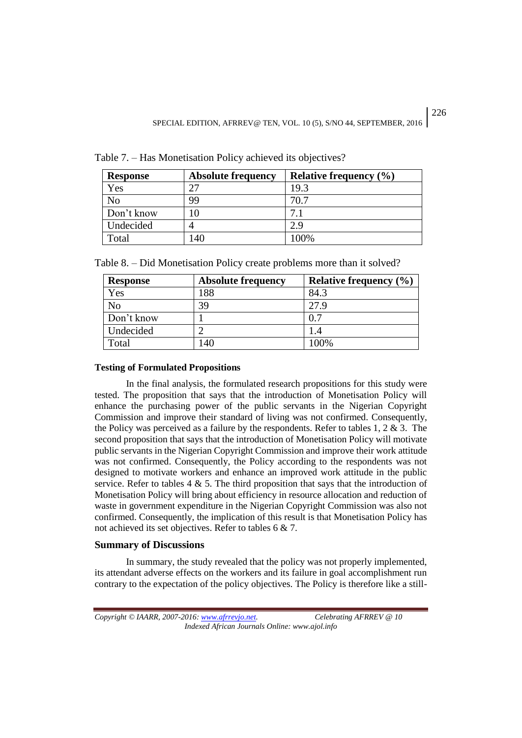| <b>Response</b> | <b>Absolute frequency</b> | Relative frequency $(\% )$ |
|-----------------|---------------------------|----------------------------|
| Yes             |                           | 19.3                       |
| No              | 99                        | 70.7                       |
| Don't know      |                           | 7 <sup>1</sup>             |
| Undecided       |                           | 2.9                        |
| Total           | 40                        | 100%                       |

Table 7. – Has Monetisation Policy achieved its objectives?

| Table 8. - Did Monetisation Policy create problems more than it solved? |  |  |  |
|-------------------------------------------------------------------------|--|--|--|
|-------------------------------------------------------------------------|--|--|--|

| <b>Response</b> | <b>Absolute frequency</b> | Relative frequency $(\% )$ |
|-----------------|---------------------------|----------------------------|
| Yes             | 188                       | 84.3                       |
| No              | 39                        | 27.9                       |
| Don't know      |                           | $\mathbf{0}$ .             |
| Undecided       |                           |                            |
| Total           | 140                       | 100%                       |

#### **Testing of Formulated Propositions**

In the final analysis, the formulated research propositions for this study were tested. The proposition that says that the introduction of Monetisation Policy will enhance the purchasing power of the public servants in the Nigerian Copyright Commission and improve their standard of living was not confirmed. Consequently, the Policy was perceived as a failure by the respondents. Refer to tables 1, 2  $\&$  3. The second proposition that says that the introduction of Monetisation Policy will motivate public servants in the Nigerian Copyright Commission and improve their work attitude was not confirmed. Consequently, the Policy according to the respondents was not designed to motivate workers and enhance an improved work attitude in the public service. Refer to tables  $4 \& 5$ . The third proposition that says that the introduction of Monetisation Policy will bring about efficiency in resource allocation and reduction of waste in government expenditure in the Nigerian Copyright Commission was also not confirmed. Consequently, the implication of this result is that Monetisation Policy has not achieved its set objectives. Refer to tables 6 & 7.

#### **Summary of Discussions**

In summary, the study revealed that the policy was not properly implemented, its attendant adverse effects on the workers and its failure in goal accomplishment run contrary to the expectation of the policy objectives. The Policy is therefore like a still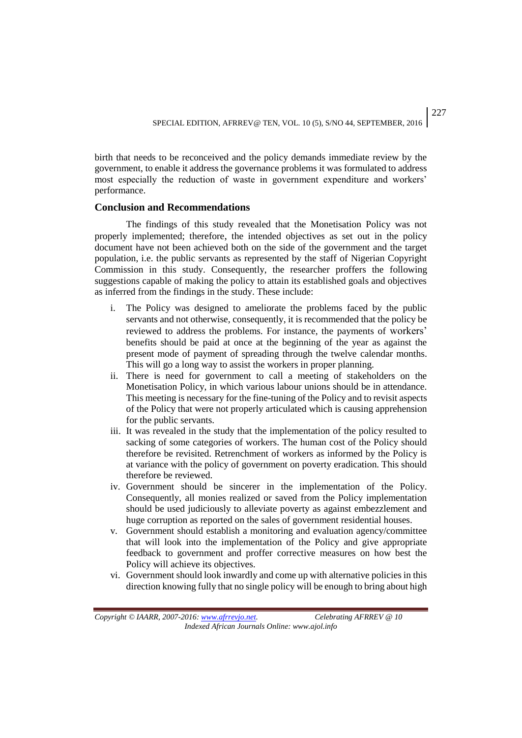birth that needs to be reconceived and the policy demands immediate review by the government, to enable it address the governance problems it was formulated to address most especially the reduction of waste in government expenditure and workers' performance.

# **Conclusion and Recommendations**

The findings of this study revealed that the Monetisation Policy was not properly implemented; therefore, the intended objectives as set out in the policy document have not been achieved both on the side of the government and the target population, i.e. the public servants as represented by the staff of Nigerian Copyright Commission in this study. Consequently, the researcher proffers the following suggestions capable of making the policy to attain its established goals and objectives as inferred from the findings in the study. These include:

- i. The Policy was designed to ameliorate the problems faced by the public servants and not otherwise, consequently, it is recommended that the policy be reviewed to address the problems. For instance, the payments of workers' benefits should be paid at once at the beginning of the year as against the present mode of payment of spreading through the twelve calendar months. This will go a long way to assist the workers in proper planning.
- ii. There is need for government to call a meeting of stakeholders on the Monetisation Policy, in which various labour unions should be in attendance. This meeting is necessary for the fine-tuning of the Policy and to revisit aspects of the Policy that were not properly articulated which is causing apprehension for the public servants.
- iii. It was revealed in the study that the implementation of the policy resulted to sacking of some categories of workers. The human cost of the Policy should therefore be revisited. Retrenchment of workers as informed by the Policy is at variance with the policy of government on poverty eradication. This should therefore be reviewed.
- iv. Government should be sincerer in the implementation of the Policy. Consequently, all monies realized or saved from the Policy implementation should be used judiciously to alleviate poverty as against embezzlement and huge corruption as reported on the sales of government residential houses.
- v. Government should establish a monitoring and evaluation agency/committee that will look into the implementation of the Policy and give appropriate feedback to government and proffer corrective measures on how best the Policy will achieve its objectives.
- vi. Government should look inwardly and come up with alternative policies in this direction knowing fully that no single policy will be enough to bring about high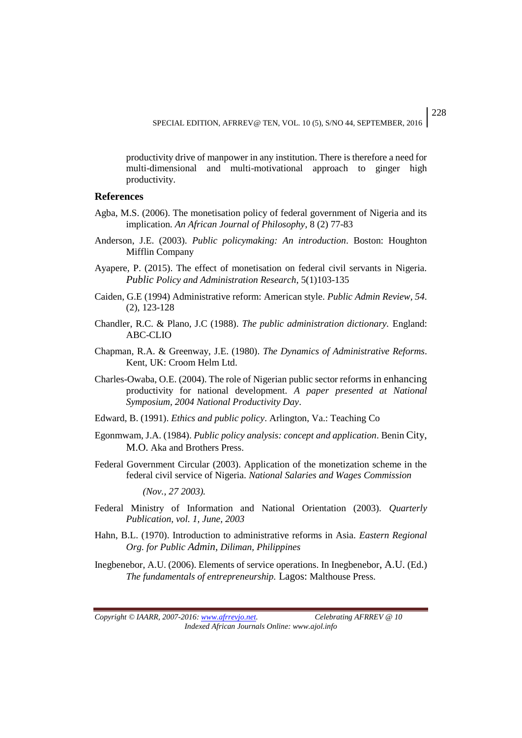productivity drive of manpower in any institution. There is therefore a need for multi-dimensional and multi-motivational approach to ginger high productivity.

#### **References**

- Agba, M.S. (2006). The monetisation policy of federal government of Nigeria and its implication. *An African Journal of Philosophy*, 8 (2) 77-83
- Anderson, J.E. (2003). *Public policymaking: An introduction*. Boston: Houghton Mifflin Company
- Ayapere, P. (2015). The effect of monetisation on federal civil servants in Nigeria. *Public Policy and Administration Research*, 5(1)103-135
- Caiden, G.E (1994) Administrative reform: American style. *Public Admin Review, 54*. (2), 123-128
- Chandler, R.C. & Plano, J.C (1988). *The public administration dictionary.* England: ABC-CLIO
- Chapman, R.A. & Greenway, J.E. (1980). *The Dynamics of Administrative Reforms*. Kent, UK: Croom Helm Ltd.
- Charles-Owaba, O.E. (2004). The role of Nigerian public sector reforms in enhancing productivity for national development. *A paper presented at National Symposium, 2004 National Productivity Day*.
- Edward, B. (1991). *Ethics and public policy*. Arlington, Va.: Teaching Co
- Egonmwam, J.A. (1984). *Public policy analysis: concept and application*. Benin City, M.O. Aka and Brothers Press.
- Federal Government Circular (2003). Application of the monetization scheme in the federal civil service of Nigeria. *National Salaries and Wages Commission*

 *(Nov., 27 2003).*

- Federal Ministry of Information and National Orientation (2003). *Quarterly Publication, vol. 1, June, 2003*
- Hahn, B.L. (1970). Introduction to administrative reforms in Asia. *Eastern Regional Org. for Public Admin, Diliman, Philippines*
- Inegbenebor, A.U. (2006). Elements of service operations. In Inegbenebor, A.U. (Ed.) *The fundamentals of entrepreneurship.* Lagos: Malthouse Press.